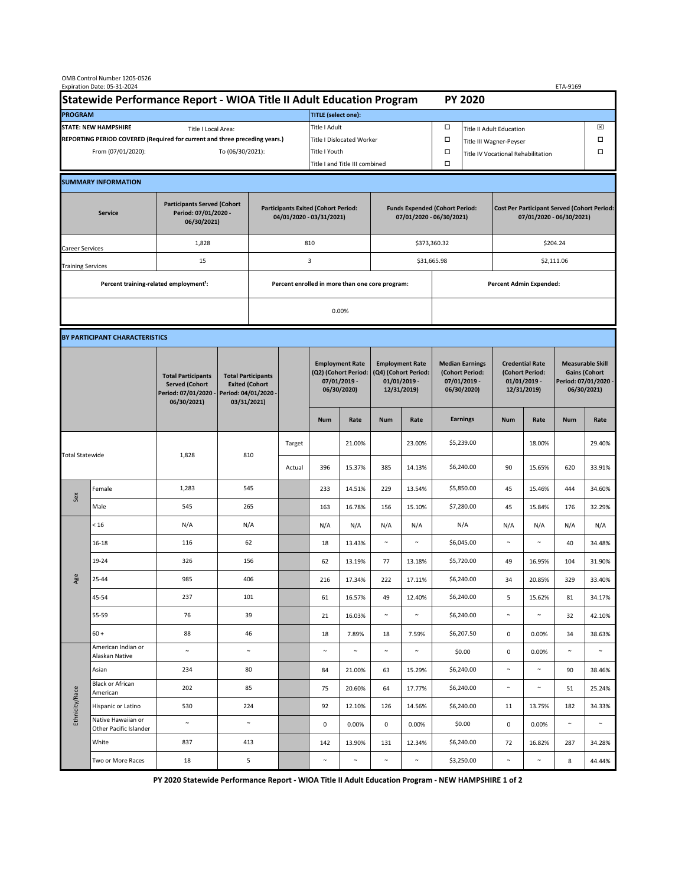|                                                                                             | OMB Control Number 1205-0526<br>Expiration Date: 05-31-2024 |                                                                                           |                                                                                           |                                                                        |        |                                                                               |               |                                                                                 |        |                                                                            |                                    |                                                                                |        | ETA-9169                                                                               |        |  |
|---------------------------------------------------------------------------------------------|-------------------------------------------------------------|-------------------------------------------------------------------------------------------|-------------------------------------------------------------------------------------------|------------------------------------------------------------------------|--------|-------------------------------------------------------------------------------|---------------|---------------------------------------------------------------------------------|--------|----------------------------------------------------------------------------|------------------------------------|--------------------------------------------------------------------------------|--------|----------------------------------------------------------------------------------------|--------|--|
| Statewide Performance Report - WIOA Title II Adult Education Program                        |                                                             |                                                                                           |                                                                                           |                                                                        |        |                                                                               |               |                                                                                 |        |                                                                            | <b>PY 2020</b>                     |                                                                                |        |                                                                                        |        |  |
| <b>PROGRAM</b>                                                                              |                                                             |                                                                                           |                                                                                           |                                                                        |        | <b>TITLE</b> (select one):                                                    |               |                                                                                 |        |                                                                            |                                    |                                                                                |        |                                                                                        |        |  |
| <b>STATE: NEW HAMPSHIRE</b><br>Title I Local Area:                                          |                                                             |                                                                                           |                                                                                           |                                                                        |        | Title I Adult                                                                 |               |                                                                                 |        | □<br><b>Title II Adult Education</b>                                       |                                    |                                                                                |        |                                                                                        | ⊠      |  |
| REPORTING PERIOD COVERED (Required for current and three preceding years.)                  |                                                             |                                                                                           |                                                                                           |                                                                        |        | Title I Dislocated Worker                                                     |               |                                                                                 |        | Ω                                                                          | □<br>Title III Wagner-Peyser       |                                                                                |        |                                                                                        |        |  |
| From (07/01/2020):                                                                          |                                                             |                                                                                           |                                                                                           | To (06/30/2021):                                                       |        |                                                                               | Title I Youth |                                                                                 |        | $\Box$                                                                     | Title IV Vocational Rehabilitation |                                                                                |        |                                                                                        | □      |  |
|                                                                                             |                                                             |                                                                                           |                                                                                           |                                                                        |        | Title I and Title III combined                                                |               |                                                                                 |        | Ω                                                                          |                                    |                                                                                |        |                                                                                        |        |  |
|                                                                                             | <b>SUMMARY INFORMATION</b>                                  |                                                                                           |                                                                                           |                                                                        |        |                                                                               |               |                                                                                 |        |                                                                            |                                    |                                                                                |        |                                                                                        |        |  |
| <b>Participants Served (Cohort</b><br>Period: 07/01/2020 -<br><b>Service</b><br>06/30/2021) |                                                             |                                                                                           |                                                                                           | <b>Participants Exited (Cohort Period:</b><br>04/01/2020 - 03/31/2021) |        |                                                                               |               | <b>Funds Expended (Cohort Period:</b><br>07/01/2020 - 06/30/2021)               |        |                                                                            |                                    | <b>Cost Per Participant Served (Cohort Period:</b><br>07/01/2020 - 06/30/2021) |        |                                                                                        |        |  |
| Career Services                                                                             |                                                             | 1,828                                                                                     |                                                                                           |                                                                        |        | 810                                                                           |               |                                                                                 |        | \$373,360.32                                                               |                                    | \$204.24                                                                       |        |                                                                                        |        |  |
| <b>Training Services</b>                                                                    |                                                             | 15                                                                                        |                                                                                           | 3                                                                      |        |                                                                               |               | \$31,665.98                                                                     |        |                                                                            | \$2,111.06                         |                                                                                |        |                                                                                        |        |  |
|                                                                                             | Percent training-related employment <sup>1</sup> :          |                                                                                           | Percent enrolled in more than one core program:                                           |                                                                        |        |                                                                               |               |                                                                                 |        |                                                                            |                                    | <b>Percent Admin Expended:</b>                                                 |        |                                                                                        |        |  |
|                                                                                             |                                                             |                                                                                           |                                                                                           |                                                                        | 0.00%  |                                                                               |               |                                                                                 |        |                                                                            |                                    |                                                                                |        |                                                                                        |        |  |
|                                                                                             |                                                             |                                                                                           |                                                                                           |                                                                        |        |                                                                               |               |                                                                                 |        |                                                                            |                                    |                                                                                |        |                                                                                        |        |  |
|                                                                                             | BY PARTICIPANT CHARACTERISTICS                              |                                                                                           |                                                                                           |                                                                        |        |                                                                               |               |                                                                                 |        |                                                                            |                                    |                                                                                |        |                                                                                        |        |  |
|                                                                                             |                                                             | <b>Total Participants</b><br><b>Served (Cohort</b><br>Period: 07/01/2020 -<br>06/30/2021) | <b>Total Participants</b><br><b>Exited (Cohort</b><br>Period: 04/01/2020 -<br>03/31/2021) |                                                                        |        | <b>Employment Rate</b><br>(Q2) (Cohort Period:<br>07/01/2019 -<br>06/30/2020) |               | <b>Employment Rate</b><br>(Q4) (Cohort Period:<br>$01/01/2019$ -<br>12/31/2019) |        | <b>Median Earnings</b><br>(Cohort Period:<br>$07/01/2019 -$<br>06/30/2020) |                                    | <b>Credential Rate</b><br>(Cohort Period:<br>$01/01/2019 -$<br>12/31/2019)     |        | <b>Measurable Skill</b><br><b>Gains (Cohort</b><br>Period: 07/01/2020 -<br>06/30/2021) |        |  |
|                                                                                             |                                                             |                                                                                           |                                                                                           |                                                                        |        | <b>Num</b>                                                                    | Rate          | <b>Num</b>                                                                      | Rate   |                                                                            | <b>Earnings</b>                    | <b>Num</b>                                                                     | Rate   | <b>Num</b>                                                                             | Rate   |  |
| <b>Total Statewide</b>                                                                      |                                                             | 1,828                                                                                     | 810                                                                                       |                                                                        | Target |                                                                               | 21.00%        |                                                                                 | 23.00% |                                                                            | \$5,239.00                         |                                                                                | 18.00% |                                                                                        | 29.40% |  |
|                                                                                             |                                                             |                                                                                           |                                                                                           |                                                                        | Actual | 396                                                                           | 15.37%        | 385                                                                             | 14.13% |                                                                            | \$6,240.00                         | 90                                                                             | 15.65% | 620                                                                                    | 33.91% |  |
| Sex                                                                                         | Female                                                      | 1,283                                                                                     | 545                                                                                       |                                                                        |        | 233                                                                           | 14.51%        | 229                                                                             | 13.54% |                                                                            | \$5,850.00                         | 45                                                                             | 15.46% | 444                                                                                    | 34.60% |  |
|                                                                                             | Male                                                        | 545                                                                                       | 265                                                                                       |                                                                        |        | 163                                                                           | 16.78%        | 156                                                                             | 15.10% |                                                                            | \$7,280.00                         | 45                                                                             | 15.84% | 176                                                                                    | 32.29% |  |
| Age                                                                                         | < 16                                                        | N/A                                                                                       | N/A                                                                                       |                                                                        |        | N/A                                                                           | N/A           | N/A                                                                             | N/A    |                                                                            | N/A                                | N/A                                                                            | N/A    | N/A                                                                                    | N/A    |  |
|                                                                                             | $16 - 18$                                                   | 116                                                                                       | 62                                                                                        |                                                                        |        | 18                                                                            | 13.43%        | $\sim$                                                                          | $\sim$ |                                                                            | \$6,045.00                         | $\sim$                                                                         | $\sim$ | 40                                                                                     | 34.48% |  |
|                                                                                             | 19-24                                                       | 326                                                                                       | 156                                                                                       |                                                                        |        | 62                                                                            | 13.19%        | 77                                                                              | 13.18% |                                                                            | \$5,720.00                         | 49                                                                             | 16.95% | 104                                                                                    | 31.90% |  |
|                                                                                             | 25-44                                                       | 985                                                                                       | 406                                                                                       |                                                                        |        | 216                                                                           | 17.34%        | 222                                                                             | 17.11% |                                                                            | \$6,240.00                         | 34                                                                             | 20.85% | 329                                                                                    | 33.40% |  |
|                                                                                             | 45-54                                                       | 237                                                                                       | 101                                                                                       |                                                                        |        | 61                                                                            | 16.57%        | 49                                                                              | 12.40% |                                                                            | \$6,240.00                         | 5                                                                              | 15.62% | 81                                                                                     | 34.17% |  |
|                                                                                             | 55-59                                                       | 76                                                                                        | 39                                                                                        |                                                                        |        | 21                                                                            | 16.03%        | $\sim$                                                                          | $\sim$ |                                                                            | \$6,240.00                         | $\sim$                                                                         | $\sim$ | 32                                                                                     | 42.10% |  |
|                                                                                             | $60 +$                                                      | 88                                                                                        | 46                                                                                        |                                                                        |        | 18                                                                            | 7.89%         | 18                                                                              | 7.59%  |                                                                            | \$6,207.50                         | $\mathbf 0$                                                                    | 0.00%  | 34                                                                                     | 38.63% |  |
| Ethnicity/Race                                                                              | American Indian or<br>Alaskan Native                        | $\sim$                                                                                    | $\sim$                                                                                    |                                                                        |        | $\sim$                                                                        | $\sim$        | $\sim$                                                                          | $\sim$ |                                                                            | \$0.00                             | 0                                                                              | 0.00%  | $\sim$                                                                                 | $\sim$ |  |
|                                                                                             | Asian                                                       | 234                                                                                       | 80                                                                                        |                                                                        |        | 84                                                                            | 21.00%        | 63                                                                              | 15.29% |                                                                            | \$6,240.00                         | $\sim$                                                                         | $\sim$ | 90                                                                                     | 38.46% |  |
|                                                                                             | Black or African<br>American                                | 202                                                                                       | 85                                                                                        |                                                                        |        | 75                                                                            | 20.60%        | 64                                                                              | 17.77% |                                                                            | \$6,240.00                         | $\sim$                                                                         | $\sim$ | 51                                                                                     | 25.24% |  |
|                                                                                             | Hispanic or Latino                                          | 530                                                                                       | 224                                                                                       |                                                                        |        | 92                                                                            | 12.10%        | 126                                                                             | 14.56% |                                                                            | \$6,240.00                         | 11                                                                             | 13.75% | 182                                                                                    | 34.33% |  |
|                                                                                             | Native Hawaiian or<br>Other Pacific Islander                | $\sim$                                                                                    | $\sim$                                                                                    |                                                                        |        | 0                                                                             | 0.00%         | 0                                                                               | 0.00%  |                                                                            | \$0.00                             | $\mathbf 0$                                                                    | 0.00%  | $\sim$                                                                                 | $\sim$ |  |
|                                                                                             | White                                                       | 837                                                                                       | 413                                                                                       |                                                                        |        | 142                                                                           | 13.90%        | 131                                                                             | 12.34% |                                                                            | \$6,240.00                         | 72                                                                             | 16.82% | 287                                                                                    | 34.28% |  |
|                                                                                             | Two or More Races                                           | 18                                                                                        | 5                                                                                         |                                                                        |        | $\sim$                                                                        | $\sim$        | $\sim$                                                                          | $\sim$ |                                                                            | \$3,250.00                         | $\sim$                                                                         | $\sim$ | 8                                                                                      | 44.44% |  |

**PY 2020 Statewide Performance Report - WIOA Title II Adult Education Program - NEW HAMPSHIRE 1 of 2**